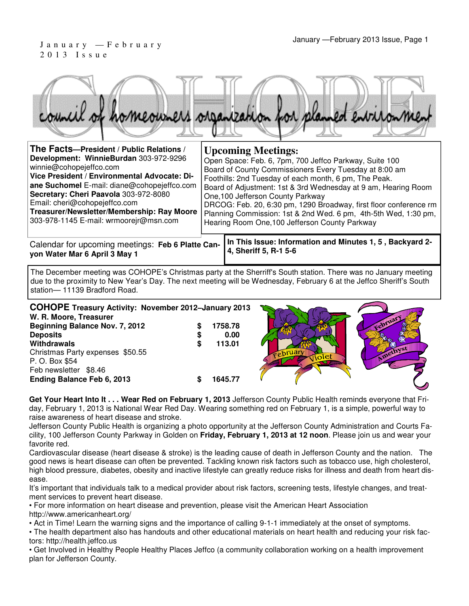#### January —February 2013 Issue, Page 1 J a n u a r y — F e b r u a r y 2 0 1 3 I s s u e



| The Facts-President / Public Relations /                                                                                                                                                                                                                                                                                           | <b>Upcoming Meetings:</b>                                                                                                                                                                                                                                                                                                                                                                                                                                                  |
|------------------------------------------------------------------------------------------------------------------------------------------------------------------------------------------------------------------------------------------------------------------------------------------------------------------------------------|----------------------------------------------------------------------------------------------------------------------------------------------------------------------------------------------------------------------------------------------------------------------------------------------------------------------------------------------------------------------------------------------------------------------------------------------------------------------------|
| Development: WinnieBurdan 303-972-9296<br>winnie@cohopejeffco.com<br>Vice President / Environmental Advocate: Di-<br>ane Suchomel E-mail: diane@cohopejeffco.com<br>Secretary: Cheri Paavola 303-972-8080<br>Email: cheri@cohopejeffco.com<br>Treasurer/Newsletter/Membership: Ray Moore<br>303-978-1145 E-mail: wrmoorejr@msn.com | Open Space: Feb. 6, 7pm, 700 Jeffco Parkway, Suite 100<br>Board of County Commissioners Every Tuesday at 8:00 am<br>Foothills: 2nd Tuesday of each month, 6 pm, The Peak.<br>Board of Adjustment: 1st & 3rd Wednesday at 9 am, Hearing Room<br>One, 100 Jefferson County Parkway<br>DRCOG: Feb. 20, 6:30 pm, 1290 Broadway, first floor conference rm<br>Planning Commission: 1st & 2nd Wed. 6 pm, 4th-5th Wed, 1:30 pm,<br>Hearing Room One, 100 Jefferson County Parkway |
| Calendar for upcoming meetings: Feb 6 Platte Can-<br>von Wator Mar & Anril 2 May 1                                                                                                                                                                                                                                                 | In This Issue: Information and Minutes 1, 5, Backyard 2-<br>4, Sheriff 5, R-1 5-6                                                                                                                                                                                                                                                                                                                                                                                          |

**yon Water Mar 6 April 3 May 1**

The December meeting was COHOPE's Christmas party at the Sherriff's South station. There was no January meeting due to the proximity to New Year's Day. The next meeting will be Wednesday, February 6 at the Jeffco Sheriff's South station— 11139 Bradford Road.

| <b>COHOPE Treasury Activity: November 2012-January 2013</b><br>W. R. Moore, Treasurer<br>Beginning Balance Nov. 7, 2012<br><b>Deposits</b><br>Withdrawals<br>Christmas Party expenses \$50.55<br>P. O. Box \$54<br>Feb newsletter \$8.46 | 1758.78<br>0.00<br>113.01 | iolet | cebrua<br>Amethyst |
|------------------------------------------------------------------------------------------------------------------------------------------------------------------------------------------------------------------------------------------|---------------------------|-------|--------------------|
| Ending Balance Feb 6, 2013                                                                                                                                                                                                               | 1645.77                   |       |                    |

**Get Your Heart Into It . . . Wear Red on February 1, 2013** Jefferson County Public Health reminds everyone that Friday, February 1, 2013 is National Wear Red Day. Wearing something red on February 1, is a simple, powerful way to raise awareness of heart disease and stroke.

Jefferson County Public Health is organizing a photo opportunity at the Jefferson County Administration and Courts Facility, 100 Jefferson County Parkway in Golden on **Friday, February 1, 2013 at 12 noon**. Please join us and wear your favorite red.

Cardiovascular disease (heart disease & stroke) is the leading cause of death in Jefferson County and the nation. The good news is heart disease can often be prevented. Tackling known risk factors such as tobacco use, high cholesterol, high blood pressure, diabetes, obesity and inactive lifestyle can greatly reduce risks for illness and death from heart disease.

It's important that individuals talk to a medical provider about risk factors, screening tests, lifestyle changes, and treatment services to prevent heart disease.

• For more information on heart disease and prevention, please visit the American Heart Association

http://www.americanheart.org/

• Act in Time! Learn the warning signs and the importance of calling 9-1-1 immediately at the onset of symptoms.

• The health department also has handouts and other educational materials on heart health and reducing your risk factors: http://health.jeffco.us

• Get Involved in Healthy People Healthy Places Jeffco (a community collaboration working on a health improvement plan for Jefferson County.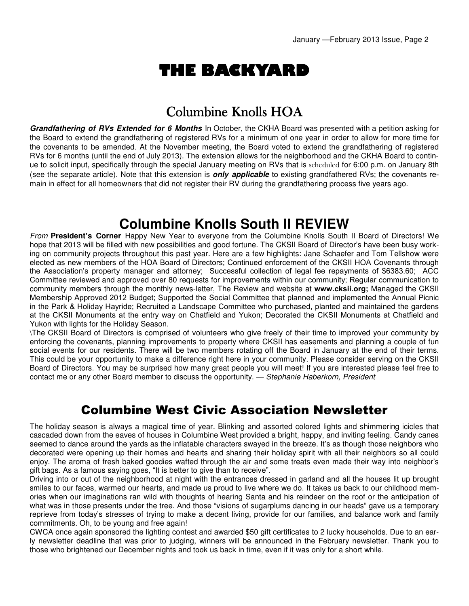# THE BACKYARD

## Columbine Knolls HOA

**Grandfathering of RVs Extended for 6 Months** In October, the CKHA Board was presented with a petition asking for the Board to extend the grandfathering of registered RVs for a minimum of one year in order to allow for more time for the covenants to be amended. At the November meeting, the Board voted to extend the grandfathering of registered RVs for 6 months (until the end of July 2013). The extension allows for the neighborhood and the CKHA Board to continue to solicit input, specifically through the special January meeting on RVs that is scheduled for 6:00 p.m. on January 8th (see the separate article). Note that this extension is **only applicable** to existing grandfathered RVs; the covenants remain in effect for all homeowners that did not register their RV during the grandfathering process five years ago.

## **Columbine Knolls South II REVIEW**

From **President's Corner** Happy New Year to everyone from the Columbine Knolls South II Board of Directors! We hope that 2013 will be filled with new possibilities and good fortune. The CKSII Board of Director's have been busy working on community projects throughout this past year. Here are a few highlights: Jane Schaefer and Tom Tellshow were elected as new members of the HOA Board of Directors; Continued enforcement of the CKSII HOA Covenants through the Association's property manager and attorney; Successful collection of legal fee repayments of \$6383.60; ACC Committee reviewed and approved over 80 requests for improvements within our community; Regular communication to community members through the monthly news-letter. The Review and website at **www.cksii.org:** Managed the CKSII Membership Approved 2012 Budget; Supported the Social Committee that planned and implemented the Annual Picnic in the Park & Holiday Hayride; Recruited a Landscape Committee who purchased, planted and maintained the gardens at the CKSII Monuments at the entry way on Chatfield and Yukon; Decorated the CKSII Monuments at Chatfield and Yukon with lights for the Holiday Season.

\The CKSII Board of Directors is comprised of volunteers who give freely of their time to improved your community by enforcing the covenants, planning improvements to property where CKSII has easements and planning a couple of fun social events for our residents. There will be two members rotating off the Board in January at the end of their terms. This could be your opportunity to make a difference right here in your community. Please consider serving on the CKSII Board of Directors. You may be surprised how many great people you will meet! If you are interested please feel free to contact me or any other Board member to discuss the opportunity. — Stephanie Haberkorn, President

### Columbine West Civic Association Newsletter

The holiday season is always a magical time of year. Blinking and assorted colored lights and shimmering icicles that cascaded down from the eaves of houses in Columbine West provided a bright, happy, and inviting feeling. Candy canes seemed to dance around the yards as the inflatable characters swayed in the breeze. It's as though those neighbors who decorated were opening up their homes and hearts and sharing their holiday spirit with all their neighbors so all could enjoy. The aroma of fresh baked goodies wafted through the air and some treats even made their way into neighbor's gift bags. As a famous saying goes, "It is better to give than to receive".

Driving into or out of the neighborhood at night with the entrances dressed in garland and all the houses lit up brought smiles to our faces, warmed our hearts, and made us proud to live where we do. It takes us back to our childhood memories when our imaginations ran wild with thoughts of hearing Santa and his reindeer on the roof or the anticipation of what was in those presents under the tree. And those "visions of sugarplums dancing in our heads" gave us a temporary reprieve from today's stresses of trying to make a decent living, provide for our families, and balance work and family commitments. Oh, to be young and free again!

CWCA once again sponsored the lighting contest and awarded \$50 gift certificates to 2 lucky households. Due to an early newsletter deadline that was prior to judging, winners will be announced in the February newsletter. Thank you to those who brightened our December nights and took us back in time, even if it was only for a short while.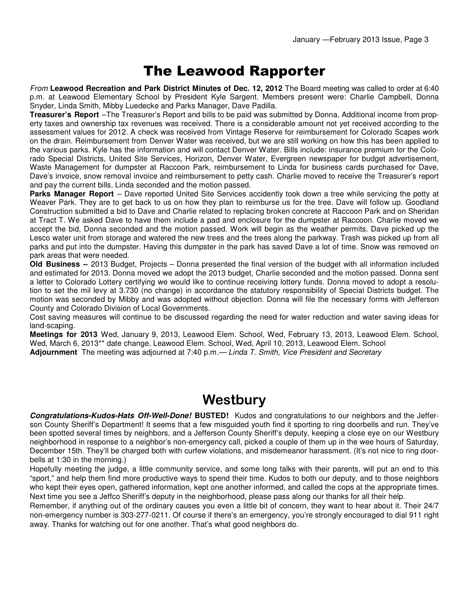## The Leawood Rapporter

From **Leawood Recreation and Park District Minutes of Dec. 12, 2012** The Board meeting was called to order at 6:40 p.m. at Leawood Elementary School by President Kyle Sargent. Members present were: Charlie Campbell, Donna Snyder, Linda Smith, Mibby Luedecke and Parks Manager, Dave Padilla.

**Treasurer's Report** –The Treasurer's Report and bills to be paid was submitted by Donna. Additional income from property taxes and ownership tax revenues was received. There is a considerable amount not yet received according to the assessment values for 2012. A check was received from Vintage Reserve for reimbursement for Colorado Scapes work on the drain. Reimbursement from Denver Water was received, but we are still working on how this has been applied to the various parks. Kyle has the information and will contact Denver Water. Bills include: insurance premium for the Colorado Special Districts, United Site Services, Horizon, Denver Water, Evergreen newspaper for budget advertisement, Waste Management for dumpster at Raccoon Park, reimbursement to Linda for business cards purchased for Dave, Dave's invoice, snow removal invoice and reimbursement to petty cash. Charlie moved to receive the Treasurer's report and pay the current bills. Linda seconded and the motion passed.

**Parks Manager Report** – Dave reported United Site Services accidently took down a tree while servicing the potty at Weaver Park. They are to get back to us on how they plan to reimburse us for the tree. Dave will follow up. Goodland Construction submitted a bid to Dave and Charlie related to replacing broken concrete at Raccoon Park and on Sheridan at Tract T. We asked Dave to have them include a pad and enclosure for the dumpster at Raccoon. Charlie moved we accept the bid, Donna seconded and the motion passed. Work will begin as the weather permits. Dave picked up the Lesco water unit from storage and watered the new trees and the trees along the parkway. Trash was picked up from all parks and put into the dumpster. Having this dumpster in the park has saved Dave a lot of time. Snow was removed on park areas that were needed.

**Old Business –** 2013 Budget, Projects – Donna presented the final version of the budget with all information included and estimated for 2013. Donna moved we adopt the 2013 budget, Charlie seconded and the motion passed. Donna sent a letter to Colorado Lottery certifying we would like to continue receiving lottery funds. Donna moved to adopt a resolution to set the mil levy at 3.730 (no change) in accordance the statutory responsibility of Special Districts budget. The motion was seconded by Mibby and was adopted without objection. Donna will file the necessary forms with Jefferson County and Colorado Division of Local Governments.

Cost saving measures will continue to be discussed regarding the need for water reduction and water saving ideas for land-scaping.

**Meetings for 2013** Wed, January 9, 2013, Leawood Elem. School, Wed, February 13, 2013, Leawood Elem. School, Wed, March 6, 2013\*\* date change, Leawood Elem. School, Wed, April 10, 2013, Leawood Elem. School **Adjournment** The meeting was adjourned at 7:40 p.m.— Linda T. Smith, Vice President and Secretary

### **Westbury**

**Congratulations-Kudos-Hats Off-Well-Done! BUSTED!** Kudos and congratulations to our neighbors and the Jefferson County Sheriff's Department! It seems that a few misguided youth find it sporting to ring doorbells and run. They've been spotted several times by neighbors, and a Jefferson County Sheriff's deputy, keeping a close eye on our Westbury neighborhood in response to a neighbor's non-emergency call, picked a couple of them up in the wee hours of Saturday, December 15th. They'll be charged both with curfew violations, and misdemeanor harassment. (It's not nice to ring doorbells at 1:30 in the morning.)

Hopefully meeting the judge, a little community service, and some long talks with their parents, will put an end to this "sport," and help them find more productive ways to spend their time. Kudos to both our deputy, and to those neighbors who kept their eyes open, gathered information, kept one another informed, and called the cops at the appropriate times. Next time you see a Jeffco Sheriff's deputy in the neighborhood, please pass along our thanks for all their help.

Remember, if anything out of the ordinary causes you even a little bit of concern, they want to hear about it. Their 24/7 non-emergency number is 303-277-0211. Of course if there's an emergency, you're strongly encouraged to dial 911 right away. Thanks for watching out for one another. That's what good neighbors do.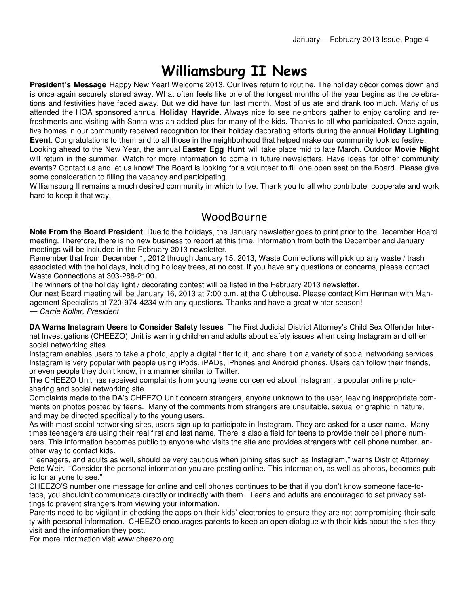# Williamsburg II News

**President's Message** Happy New Year! Welcome 2013. Our lives return to routine. The holiday décor comes down and is once again securely stored away. What often feels like one of the longest months of the year begins as the celebrations and festivities have faded away. But we did have fun last month. Most of us ate and drank too much. Many of us attended the HOA sponsored annual **Holiday Hayride**. Always nice to see neighbors gather to enjoy caroling and refreshments and visiting with Santa was an added plus for many of the kids. Thanks to all who participated. Once again, five homes in our community received recognition for their holiday decorating efforts during the annual **Holiday Lighting Event**. Congratulations to them and to all those in the neighborhood that helped make our community look so festive.

Looking ahead to the New Year, the annual **Easter Egg Hunt** will take place mid to late March. Outdoor **Movie Night**  will return in the summer. Watch for more information to come in future newsletters. Have ideas for other community events? Contact us and let us know! The Board is looking for a volunteer to fill one open seat on the Board. Please give some consideration to filling the vacancy and participating.

Williamsburg II remains a much desired community in which to live. Thank you to all who contribute, cooperate and work hard to keep it that way.

#### **WoodBourne**

**Note From the Board President** Due to the holidays, the January newsletter goes to print prior to the December Board meeting. Therefore, there is no new business to report at this time. Information from both the December and January meetings will be included in the February 2013 newsletter.

Remember that from December 1, 2012 through January 15, 2013, Waste Connections will pick up any waste / trash associated with the holidays, including holiday trees, at no cost. If you have any questions or concerns, please contact Waste Connections at 303-288-2100.

The winners of the holiday light / decorating contest will be listed in the February 2013 newsletter.

Our next Board meeting will be January 16, 2013 at 7:00 p.m. at the Clubhouse. Please contact Kim Herman with Management Specialists at 720-974-4234 with any questions. Thanks and have a great winter season!

— Carrie Kollar, President

**DA Warns Instagram Users to Consider Safety Issues** The First Judicial District Attorney's Child Sex Offender Internet Investigations (CHEEZO) Unit is warning children and adults about safety issues when using Instagram and other social networking sites.

Instagram enables users to take a photo, apply a digital filter to it, and share it on a variety of social networking services. Instagram is very popular with people using iPods, iPADs, iPhones and Android phones. Users can follow their friends, or even people they don't know, in a manner similar to Twitter.

The CHEEZO Unit has received complaints from young teens concerned about Instagram, a popular online photosharing and social networking site.

Complaints made to the DA's CHEEZO Unit concern strangers, anyone unknown to the user, leaving inappropriate comments on photos posted by teens. Many of the comments from strangers are unsuitable, sexual or graphic in nature, and may be directed specifically to the young users.

As with most social networking sites, users sign up to participate in Instagram. They are asked for a user name. Many times teenagers are using their real first and last name. There is also a field for teens to provide their cell phone numbers. This information becomes public to anyone who visits the site and provides strangers with cell phone number, another way to contact kids.

"Teenagers, and adults as well, should be very cautious when joining sites such as Instagram," warns District Attorney Pete Weir. "Consider the personal information you are posting online. This information, as well as photos, becomes public for anyone to see."

CHEEZO'S number one message for online and cell phones continues to be that if you don't know someone face-toface, you shouldn't communicate directly or indirectly with them. Teens and adults are encouraged to set privacy settings to prevent strangers from viewing your information.

Parents need to be vigilant in checking the apps on their kids' electronics to ensure they are not compromising their safety with personal information. CHEEZO encourages parents to keep an open dialogue with their kids about the sites they visit and the information they post.

For more information visit www.cheezo.org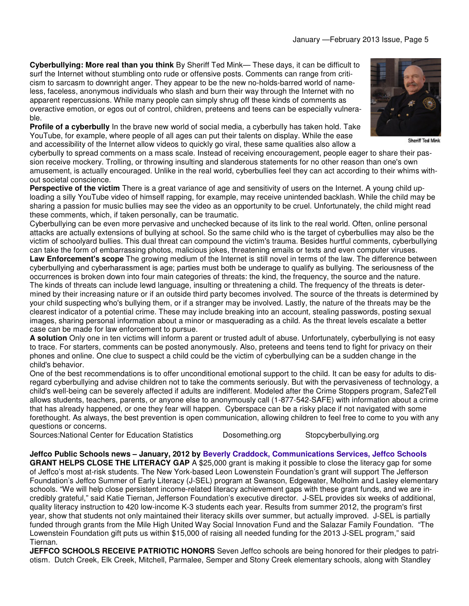**Cyberbullying: More real than you think** By Sheriff Ted Mink— These days, it can be difficult to surf the Internet without stumbling onto rude or offensive posts. Comments can range from criticism to sarcasm to downright anger. They appear to be the new no-holds-barred world of nameless, faceless, anonymous individuals who slash and burn their way through the Internet with no apparent repercussions. While many people can simply shrug off these kinds of comments as overactive emotion, or egos out of control, children, preteens and teens can be especially vulnerable.



**Sheriff Ted Mink** 

**Profile of a cyberbully** In the brave new world of social media, a cyberbully has taken hold. Take YouTube, for example, where people of all ages can put their talents on display. While the ease and accessibility of the Internet allow videos to quickly go viral, these same qualities also allow a

cyberbully to spread comments on a mass scale. Instead of receiving encouragement, people eager to share their passion receive mockery. Trolling, or throwing insulting and slanderous statements for no other reason than one's own amusement, is actually encouraged. Unlike in the real world, cyberbullies feel they can act according to their whims without societal conscience.

**Perspective of the victim** There is a great variance of age and sensitivity of users on the Internet. A young child uploading a silly YouTube video of himself rapping, for example, may receive unintended backlash. While the child may be sharing a passion for music bullies may see the video as an opportunity to be cruel. Unfortunately, the child might read these comments, which, if taken personally, can be traumatic.

Cyberbullying can be even more pervasive and unchecked because of its link to the real world. Often, online personal attacks are actually extensions of bullying at school. So the same child who is the target of cyberbullies may also be the victim of schoolyard bullies. This dual threat can compound the victim's trauma. Besides hurtful comments, cyberbullying can take the form of embarrassing photos, malicious jokes, threatening emails or texts and even computer viruses. **Law Enforcement's scope** The growing medium of the Internet is still novel in terms of the law. The difference between cyberbullying and cyberharassment is age; parties must both be underage to qualify as bullying. The seriousness of the occurrences is broken down into four main categories of threats: the kind, the frequency, the source and the nature. The kinds of threats can include lewd language, insulting or threatening a child. The frequency of the threats is determined by their increasing nature or if an outside third party becomes involved. The source of the threats is determined by your child suspecting who's bullying them, or if a stranger may be involved. Lastly, the nature of the threats may be the clearest indicator of a potential crime. These may include breaking into an account, stealing passwords, posting sexual images, sharing personal information about a minor or masquerading as a child. As the threat levels escalate a better case can be made for law enforcement to pursue.

**A solution** Only one in ten victims will inform a parent or trusted adult of abuse. Unfortunately, cyberbullying is not easy to trace. For starters, comments can be posted anonymously. Also, preteens and teens tend to fight for privacy on their phones and online. One clue to suspect a child could be the victim of cyberbullying can be a sudden change in the child's behavior.

One of the best recommendations is to offer unconditional emotional support to the child. It can be easy for adults to disregard cyberbullying and advise children not to take the comments seriously. But with the pervasiveness of technology, a child's well-being can be severely affected if adults are indifferent. Modeled after the Crime Stoppers program, Safe2Tell allows students, teachers, parents, or anyone else to anonymously call (1-877-542-SAFE) with information about a crime that has already happened, or one they fear will happen. Cyberspace can be a risky place if not navigated with some forethought. As always, the best prevention is open communication, allowing children to feel free to come to you with any questions or concerns.

Sources:National Center for Education Statistics **Dosomething.org Stopcyberbullying.org** Stopcyberbullying.org

**Jeffco Public Schools news – January, 2012 by Beverly Craddock, Communications Services, Jeffco Schools GRANT HELPS CLOSE THE LITERACY GAP** A \$25,000 grant is making it possible to close the literacy gap for some of Jeffco's most at-risk students. The New York-based Leon Lowenstein Foundation's grant will support The Jefferson Foundation's Jeffco Summer of Early Literacy (J-SEL) program at Swanson, Edgewater, Molholm and Lasley elementary schools. "We will help close persistent income-related literacy achievement gaps with these grant funds, and we are incredibly grateful," said Katie Tiernan, Jefferson Foundation's executive director. J-SEL provides six weeks of additional, quality literacy instruction to 420 low-income K-3 students each year. Results from summer 2012, the program's first year, show that students not only maintained their literacy skills over summer, but actually improved. J-SEL is partially funded through grants from the Mile High United Way Social Innovation Fund and the Salazar Family Foundation. "The Lowenstein Foundation gift puts us within \$15,000 of raising all needed funding for the 2013 J-SEL program," said Tiernan.

**JEFFCO SCHOOLS RECEIVE PATRIOTIC HONORS** Seven Jeffco schools are being honored for their pledges to patriotism. Dutch Creek, Elk Creek, Mitchell, Parmalee, Semper and Stony Creek elementary schools, along with Standley